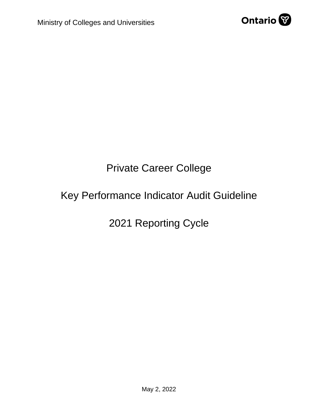

# Private Career College

# Key Performance Indicator Audit Guideline

2021 Reporting Cycle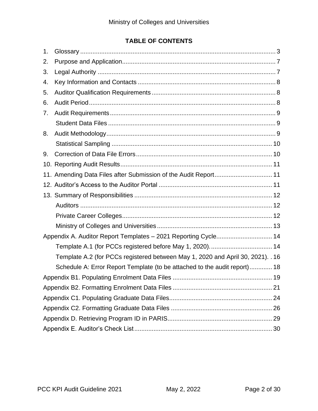#### **TABLE OF CONTENTS**

| 1. |                                                                                 |
|----|---------------------------------------------------------------------------------|
| 2. |                                                                                 |
| 3. |                                                                                 |
| 4. |                                                                                 |
| 5. |                                                                                 |
| 6. |                                                                                 |
| 7. |                                                                                 |
|    |                                                                                 |
| 8. |                                                                                 |
|    |                                                                                 |
| 9. |                                                                                 |
|    |                                                                                 |
|    | 11. Amending Data Files after Submission of the Audit Report 11                 |
|    |                                                                                 |
|    |                                                                                 |
|    |                                                                                 |
|    |                                                                                 |
|    |                                                                                 |
|    | Appendix A. Auditor Report Templates - 2021 Reporting Cycle 14                  |
|    |                                                                                 |
|    | Template A.2 (for PCCs registered between May 1, 2020 and April 30, 2021). . 16 |
|    | Schedule A: Error Report Template (to be attached to the audit report) 18       |
|    |                                                                                 |
|    |                                                                                 |
|    |                                                                                 |
|    |                                                                                 |
|    |                                                                                 |
|    |                                                                                 |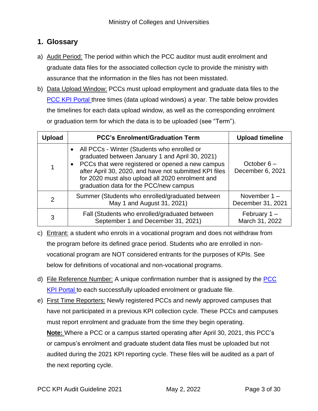### <span id="page-2-0"></span>**1. Glossary**

- a) Audit Period: The period within which the PCC auditor must audit enrolment and graduate data files for the associated collection cycle to provide the ministry with assurance that the information in the files has not been misstated.
- b) Data Upload Window: PCCs must upload employment and graduate data files to the [PCC KPI Portal](https://reporting.forumresearch.com/PCC/Login.aspx) three times (data upload windows) a year. The table below provides the timelines for each data upload window, as well as the corresponding enrolment or graduation term for which the data is to be uploaded (see "Term").

| <b>Upload</b> | <b>PCC's Enrolment/Graduation Term</b>                                                                                                                                                                                                                                                                     | <b>Upload timeline</b>              |
|---------------|------------------------------------------------------------------------------------------------------------------------------------------------------------------------------------------------------------------------------------------------------------------------------------------------------------|-------------------------------------|
| 1             | All PCCs - Winter (Students who enrolled or<br>graduated between January 1 and April 30, 2021)<br>PCCs that were registered or opened a new campus<br>after April 30, 2020, and have not submitted KPI files<br>for 2020 must also upload all 2020 enrolment and<br>graduation data for the PCC/new campus | October $6-$<br>December 6, 2021    |
| 2             | Summer (Students who enrolled/graduated between<br>May 1 and August 31, 2021)                                                                                                                                                                                                                              | November $1 -$<br>December 31, 2021 |
| 3             | Fall (Students who enrolled/graduated between<br>September 1 and December 31, 2021)                                                                                                                                                                                                                        | February $1 -$<br>March 31, 2022    |

- c) Entrant: a student who enrols in a vocational program and does not withdraw from the program before its defined grace period. Students who are enrolled in nonvocational program are NOT considered entrants for the purposes of KPIs. See below for definitions of vocational and non-vocational programs.
- d) File Reference Number: A unique confirmation number that is assigned by the **PCC** [KPI Portal](https://reporting.forumresearch.com/PCC/Login.aspx) to each successfully uploaded enrolment or graduate file.
- e) First Time Reporters: Newly registered PCCs and newly approved campuses that have not participated in a previous KPI collection cycle. These PCCs and campuses must report enrolment and graduate from the time they begin operating.

**Note:** Where a PCC or a campus started operating after April 30, 2021, this PCC's or campus's enrolment and graduate student data files must be uploaded but not audited during the 2021 KPI reporting cycle. These files will be audited as a part of the next reporting cycle.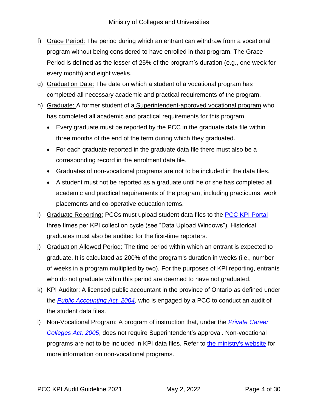- f) Grace Period: The period during which an entrant can withdraw from a vocational program without being considered to have enrolled in that program. The Grace Period is defined as the lesser of 25% of the program's duration (e.g., one week for every month) and eight weeks.
- g) Graduation Date: The date on which a student of a vocational program has completed all necessary academic and practical requirements of the program.
- h) Graduate: A former student of a Superintendent-approved vocational program who has completed all academic and practical requirements for this program.
	- Every graduate must be reported by the PCC in the graduate data file within three months of the end of the term during which they graduated.
	- For each graduate reported in the graduate data file there must also be a corresponding record in the enrolment data file.
	- Graduates of non-vocational programs are not to be included in the data files.
	- A student must not be reported as a graduate until he or she has completed all academic and practical requirements of the program, including practicums, work placements and co-operative education terms.
- i) Graduate Reporting: PCCs must upload student data files to the [PCC KPI Portal](https://reporting.forumresearch.com/PCC/Login.aspx) three times per KPI collection cycle (see "Data Upload Windows"). Historical graduates must also be audited for the first-time reporters.
- j) Graduation Allowed Period: The time period within which an entrant is expected to graduate. It is calculated as 200% of the program's duration in weeks (i.e., number of weeks in a program multiplied by two). For the purposes of KPI reporting, entrants who do not graduate within this period are deemed to have not graduated.
- k) KPI Auditor: A licensed public accountant in the province of Ontario as defined under the *[Public Accounting Act, 2004](http://www.e-laws.gov.on.ca/html/statutes/english/elaws_statutes_04p08_e.htm)*, who is engaged by a PCC to conduct an audit of the student data files.
- l) Non-Vocational Program: A program of instruction that, under the *[Private Career](http://www.e-laws.gov.on.ca/html/statutes/english/elaws_statutes_05p28_e.htm#BK1)  [Colleges Act, 2005](http://www.e-laws.gov.on.ca/html/statutes/english/elaws_statutes_05p28_e.htm#BK1)*, does not require Superintendent's approval. Non-vocational programs are not to be included in KPI data files. Refer to [the ministry's website](https://www.ontario.ca/page/exemptions-registration-private-career-colleges) for more information on non-vocational programs.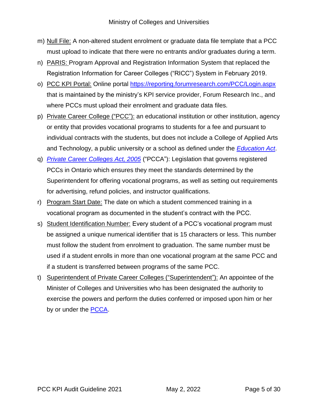- m) Null File: A non-altered student enrolment or graduate data file template that a PCC must upload to indicate that there were no entrants and/or graduates during a term.
- n) PARIS: Program Approval and Registration Information System that replaced the Registration Information for Career Colleges ("RICC") System in February 2019.
- o) PCC KPI Portal: Online portal<https://reporting.forumresearch.com/PCC/Login.aspx> that is maintained by the ministry's KPI service provider, Forum Research Inc., and where PCCs must upload their enrolment and graduate data files.
- p) Private Career College ("PCC"): an educational institution or other institution, agency or entity that provides vocational programs to students for a fee and pursuant to individual contracts with the students, but does not include a College of Applied Arts and Technology, a public university or a school as defined under the *[Education Act](https://www.ontario.ca/laws/statute/90e02)*.
- q) *[Private Career Colleges Act, 2005](https://www.ontario.ca/laws/statute/05p28)* ("PCCA"): Legislation that governs registered PCCs in Ontario which ensures they meet the standards determined by the Superintendent for offering vocational programs, as well as setting out requirements for advertising, refund policies, and instructor qualifications.
- r) Program Start Date: The date on which a student commenced training in a vocational program as documented in the student's contract with the PCC.
- s) Student Identification Number: Every student of a PCC's vocational program must be assigned a unique numerical identifier that is 15 characters or less. This number must follow the student from enrolment to graduation. The same number must be used if a student enrolls in more than one vocational program at the same PCC and if a student is transferred between programs of the same PCC.
- t) Superintendent of Private Career Colleges ("Superintendent"): An appointee of the Minister of Colleges and Universities who has been designated the authority to exercise the powers and perform the duties conferred or imposed upon him or her by or under the **PCCA**.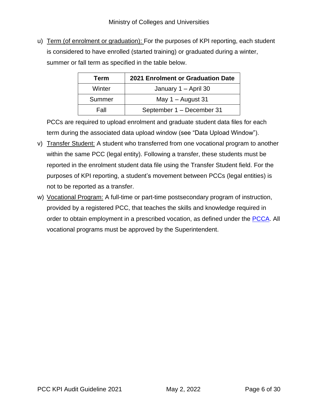u) Term (of enrolment or graduation): For the purposes of KPI reporting, each student is considered to have enrolled (started training) or graduated during a winter, summer or fall term as specified in the table below.

| <b>Term</b> | <b>2021 Enrolment or Graduation Date</b> |
|-------------|------------------------------------------|
| Winter      | January 1 - April 30                     |
| Summer      | May $1 -$ August 31                      |
| Fall        | September 1 - December 31                |

PCCs are required to upload enrolment and graduate student data files for each term during the associated data upload window (see "Data Upload Window").

- v) Transfer Student: A student who transferred from one vocational program to another within the same PCC (legal entity). Following a transfer, these students must be reported in the enrolment student data file using the Transfer Student field. For the purposes of KPI reporting, a student's movement between PCCs (legal entities) is not to be reported as a transfer.
- w) Vocational Program: A full-time or part-time postsecondary program of instruction, provided by a registered PCC, that teaches the skills and knowledge required in order to obtain employment in a prescribed vocation, as defined under the [PCCA.](https://www.ontario.ca/laws/statute/05p28) All vocational programs must be approved by the Superintendent.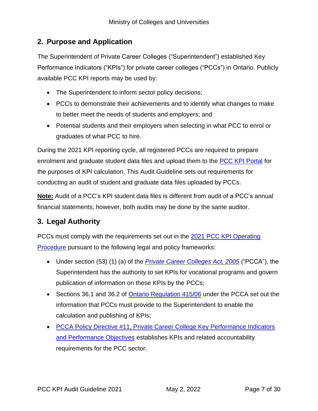### <span id="page-6-0"></span>**2. Purpose and Application**

The Superintendent of Private Career Colleges ("Superintendent") established Key Performance Indicators ("KPIs") for private career colleges ("PCCs") in Ontario. Publicly available PCC KPI reports may be used by:

- The Superintendent to inform sector policy decisions;
- PCCs to demonstrate their achievements and to identify what changes to make to better meet the needs of students and employers; and
- Potential students and their employers when selecting in what PCC to enrol or graduates of what PCC to hire.

During the 2021 KPI reporting cycle, all registered PCCs are required to prepare enrolment and graduate student data files and upload them to the [PCC KPI Portal](https://reporting.forumresearch.com/PCC/Login.aspx) for the purposes of KPI calculation. This Audit Guideline sets out requirements for conducting an audit of student and graduate data files uploaded by PCCs.

**Note:** Audit of a PCC's KPI student data files is different from audit of a PCC's annual financial statements; however, both audits may be done by the same auditor.

# <span id="page-6-1"></span>**3. Legal Authority**

PCCs must comply with the requirements set out in the 2021 PCC KPI Operating [Procedure](http://pcckpi.ca/Files/PCC%20KPI%20Operating%20Procedure%202021_Final.pdf) pursuant to the following legal and policy frameworks:

- Under section (53) (1) (a) of the *[Private Career Colleges Act, 2005](http://www.e-laws.gov.on.ca/html/statutes/english/elaws_statutes_05p28_e.htm)* ("PCCA"), the Superintendent has the authority to set KPIs for vocational programs and govern publication of information on these KPIs by the PCCs;
- Sections 36.1 and 36.2 of [Ontario Regulation 415/06](http://www.e-laws.gov.on.ca/html/regs/english/elaws_regs_060415_e.htm) under the PCCA set out the information that PCCs must provide to the Superintendent to enable the calculation and publishing of KPIs;
- PCCA Policy Directive #11, Private Career College Key Performance Indicators [and Performance Objectives](http://www.pcckpi.ca/Files/Policy%20Directive%2011%20%E2%80%93%20Private%20Career%20College%20Key%20Performance%20Indicators%20and%20Performance%20Objectives.pdf) establishes KPIs and related accountability requirements for the PCC sector.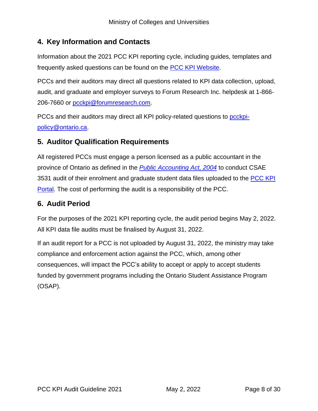# <span id="page-7-0"></span>**4. Key Information and Contacts**

Information about the 2021 PCC KPI reporting cycle, including guides, templates and frequently asked questions can be found on the [PCC KPI](http://www.pcckpi.ca/) Website.

PCCs and their auditors may direct all questions related to KPI data collection, upload, audit, and graduate and employer surveys to Forum Research Inc. helpdesk at 1-866- 206-7660 or [pcckpi@forumresearch.com.](mailto:pcckpi@forumresearch.com)

PCCs and their auditors may direct all KPI policy-related questions to [pcckpi](mailto:pcckpi-policy@ontario.ca)[policy@ontario.ca.](mailto:pcckpi-policy@ontario.ca)

# <span id="page-7-1"></span>**5. Auditor Qualification Requirements**

All registered PCCs must engage a person licensed as a public accountant in the province of Ontario as defined in the *[Public Accounting Act, 2004](http://www.e-laws.gov.on.ca/html/statutes/english/elaws_statutes_04p08_e.htm)* to conduct CSAE 3531 audit of their enrolment and graduate student data files uploaded to the **PCC KPI** [Portal.](https://reporting.forumresearch.com/PCC/Login.aspx) The cost of performing the audit is a responsibility of the PCC.

### <span id="page-7-2"></span>**6. Audit Period**

For the purposes of the 2021 KPI reporting cycle, the audit period begins May 2, 2022. All KPI data file audits must be finalised by August 31, 2022.

If an audit report for a PCC is not uploaded by August 31, 2022, the ministry may take compliance and enforcement action against the PCC, which, among other consequences, will impact the PCC's ability to accept or apply to accept students funded by government programs including the Ontario Student Assistance Program (OSAP).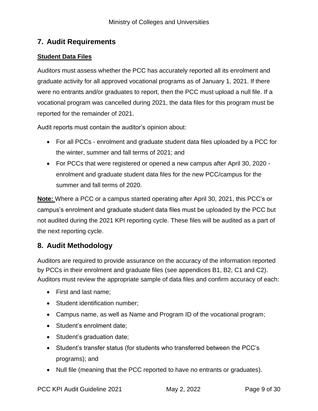# <span id="page-8-0"></span>**7. Audit Requirements**

#### <span id="page-8-1"></span>**Student Data Files**

Auditors must assess whether the PCC has accurately reported all its enrolment and graduate activity for all approved vocational programs as of January 1, 2021. If there were no entrants and/or graduates to report, then the PCC must upload a null file. If a vocational program was cancelled during 2021, the data files for this program must be reported for the remainder of 2021.

Audit reports must contain the auditor's opinion about:

- For all PCCs enrolment and graduate student data files uploaded by a PCC for the winter, summer and fall terms of 2021; and
- For PCCs that were registered or opened a new campus after April 30, 2020 enrolment and graduate student data files for the new PCC/campus for the summer and fall terms of 2020.

**Note:** Where a PCC or a campus started operating after April 30, 2021, this PCC's or campus's enrolment and graduate student data files must be uploaded by the PCC but not audited during the 2021 KPI reporting cycle. These files will be audited as a part of the next reporting cycle.

### <span id="page-8-2"></span>**8. Audit Methodology**

Auditors are required to provide assurance on the accuracy of the information reported by PCCs in their enrolment and graduate files (see appendices B1, B2, C1 and C2). Auditors must review the appropriate sample of data files and confirm accuracy of each:

- First and last name;
- Student identification number;
- Campus name, as well as Name and Program ID of the vocational program;
- Student's enrolment date;
- Student's graduation date;
- Student's transfer status (for students who transferred between the PCC's programs); and
- Null file (meaning that the PCC reported to have no entrants or graduates).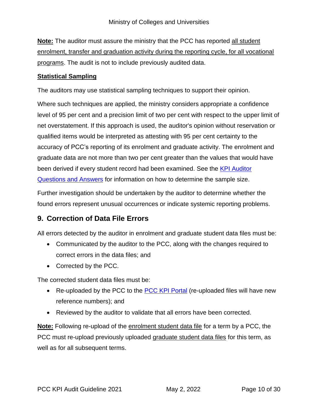**Note:** The auditor must assure the ministry that the PCC has reported all student enrolment, transfer and graduation activity during the reporting cycle, for all vocational programs. The audit is not to include previously audited data.

#### <span id="page-9-0"></span>**Statistical Sampling**

The auditors may use statistical sampling techniques to support their opinion.

Where such techniques are applied, the ministry considers appropriate a confidence level of 95 per cent and a precision limit of two per cent with respect to the upper limit of net overstatement. If this approach is used, the auditor's opinion without reservation or qualified items would be interpreted as attesting with 95 per cent certainty to the accuracy of PCC's reporting of its enrolment and graduate activity. The enrolment and graduate data are not more than two per cent greater than the values that would have been derived if every student record had been examined. See the [KPI Auditor](http://www.pcckpi.ca/Files/2013%20KPI%20Audit%20Question%20and%20Answers.pdf)  [Questions and Answers](http://www.pcckpi.ca/Files/2013%20KPI%20Audit%20Question%20and%20Answers.pdf) for information on how to determine the sample size.

Further investigation should be undertaken by the auditor to determine whether the found errors represent unusual occurrences or indicate systemic reporting problems.

### <span id="page-9-1"></span>**9. Correction of Data File Errors**

All errors detected by the auditor in enrolment and graduate student data files must be:

- Communicated by the auditor to the PCC, along with the changes required to correct errors in the data files; and
- Corrected by the PCC.

The corrected student data files must be:

- Re-uploaded by the PCC to the **PCC [KPI Portal](https://reporting.forumresearch.com/PCC/Login.aspx)** (re-uploaded files will have new reference numbers); and
- Reviewed by the auditor to validate that all errors have been corrected.

**Note:** Following re-upload of the enrolment student data file for a term by a PCC, the PCC must re-upload previously uploaded graduate student data files for this term, as well as for all subsequent terms.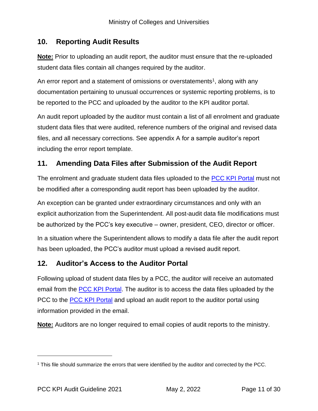### <span id="page-10-0"></span>**10. Reporting Audit Results**

**Note:** Prior to uploading an audit report, the auditor must ensure that the re-uploaded student data files contain all changes required by the auditor.

An error report and a statement of omissions or overstatements<sup>1</sup>, along with any documentation pertaining to unusual occurrences or systemic reporting problems, is to be reported to the PCC and uploaded by the auditor to the KPI auditor portal.

An audit report uploaded by the auditor must contain a list of all enrolment and graduate student data files that were audited, reference numbers of the original and revised data files, and all necessary corrections. See appendix A for a sample auditor's report including the error report template.

### <span id="page-10-1"></span>**11. Amending Data Files after Submission of the Audit Report**

The enrolment and graduate student data files uploaded to the **PCC KPI Portal** must not be modified after a corresponding audit report has been uploaded by the auditor.

An exception can be granted under extraordinary circumstances and only with an explicit authorization from the Superintendent. All post-audit data file modifications must be authorized by the PCC's key executive – owner, president, CEO, director or officer.

In a situation where the Superintendent allows to modify a data file after the audit report has been uploaded, the PCC's auditor must upload a revised audit report.

### <span id="page-10-2"></span>**12. Auditor's Access to the Auditor Portal**

Following upload of student data files by a PCC, the auditor will receive an automated email from the [PCC KPI Portal.](https://reporting.forumresearch.com/PCC/Login.aspx) The auditor is to access the data files uploaded by the PCC to the [PCC KPI Portal](https://reporting.forumresearch.com/PCC/Login.aspx) and upload an audit report to the auditor portal using information provided in the email.

**Note:** Auditors are no longer required to email copies of audit reports to the ministry.

<sup>1</sup> This file should summarize the errors that were identified by the auditor and corrected by the PCC.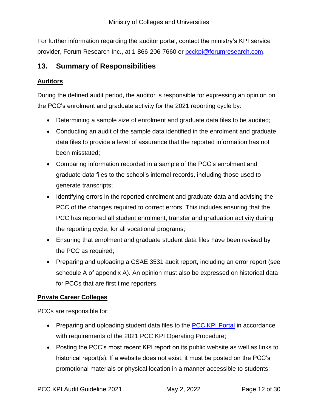For further information regarding the auditor portal, contact the ministry's KPI service provider, Forum Research Inc., at 1-866-206-7660 or [pcckpi@forumresearch.com.](mailto:pcckpi@forumresearch.com)

# <span id="page-11-0"></span>**13. Summary of Responsibilities**

#### <span id="page-11-1"></span>**Auditors**

During the defined audit period, the auditor is responsible for expressing an opinion on the PCC's enrolment and graduate activity for the 2021 reporting cycle by:

- Determining a sample size of enrolment and graduate data files to be audited;
- Conducting an audit of the sample data identified in the enrolment and graduate data files to provide a level of assurance that the reported information has not been misstated;
- Comparing information recorded in a sample of the PCC's enrolment and graduate data files to the school's internal records, including those used to generate transcripts;
- Identifying errors in the reported enrolment and graduate data and advising the PCC of the changes required to correct errors. This includes ensuring that the PCC has reported all student enrolment, transfer and graduation activity during the reporting cycle, for all vocational programs;
- Ensuring that enrolment and graduate student data files have been revised by the PCC as required;
- Preparing and uploading a CSAE 3531 audit report, including an error report (see schedule A of appendix A). An opinion must also be expressed on historical data for PCCs that are first time reporters.

#### <span id="page-11-2"></span>**Private Career Colleges**

PCCs are responsible for:

- Preparing and uploading student data files to the [PCC KPI Portal](https://reporting.forumresearch.com/PCC/Login.aspx) in accordance with requirements of the 2021 PCC KPI Operating Procedure;
- Posting the PCC's most recent KPI report on its public website as well as links to historical report(s). If a website does not exist, it must be posted on the PCC's promotional materials or physical location in a manner accessible to students;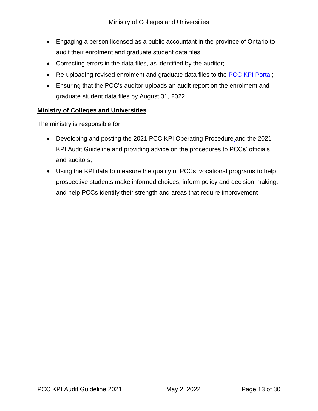- Engaging a person licensed as a public accountant in the province of Ontario to audit their enrolment and graduate student data files;
- Correcting errors in the data files, as identified by the auditor;
- Re-uploading revised enrolment and graduate data files to the **PCC KPI Portal**;
- Ensuring that the PCC's auditor uploads an audit report on the enrolment and graduate student data files by August 31, 2022.

#### <span id="page-12-0"></span>**Ministry of Colleges and Universities**

The ministry is responsible for:

- Developing and posting the 2021 PCC KPI Operating Procedure and the 2021 KPI Audit Guideline and providing advice on the procedures to PCCs' officials and auditors;
- Using the KPI data to measure the quality of PCCs' vocational programs to help prospective students make informed choices, inform policy and decision-making, and help PCCs identify their strength and areas that require improvement.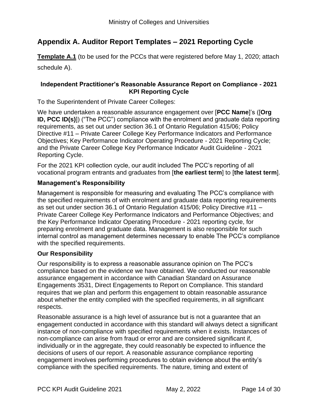# <span id="page-13-0"></span>**Appendix A. Auditor Report Templates – 2021 Reporting Cycle**

<span id="page-13-1"></span>**Template A.1** (to be used for the PCCs that were registered before May 1, 2020; attach schedule A).

#### **Independent Practitioner's Reasonable Assurance Report on Compliance - 2021 KPI Reporting Cycle**

To the Superintendent of Private Career Colleges:

We have undertaken a reasonable assurance engagement over [**PCC Name**]'s ([**Org ID, PCC ID(s)**]) ("The PCC") compliance with the enrolment and graduate data reporting requirements, as set out under section 36.1 of Ontario Regulation 415/06; Policy Directive #11 – Private Career College Key Performance Indicators and Performance Objectives; Key Performance Indicator Operating Procedure - 2021 Reporting Cycle; and the Private Career College Key Performance Indicator Audit Guideline - 2021 Reporting Cycle.

For the 2021 KPI collection cycle, our audit included The PCC's reporting of all vocational program entrants and graduates from [**the earliest term**] to [**the latest term**].

#### **Management's Responsibility**

Management is responsible for measuring and evaluating The PCC's compliance with the specified requirements of with enrolment and graduate data reporting requirements as set out under section 36.1 of Ontario Regulation 415/06; Policy Directive #11 – Private Career College Key Performance Indicators and Performance Objectives; and the Key Performance Indicator Operating Procedure - 2021 reporting cycle, for preparing enrolment and graduate data. Management is also responsible for such internal control as management determines necessary to enable The PCC's compliance with the specified requirements.

#### **Our Responsibility**

Our responsibility is to express a reasonable assurance opinion on The PCC's compliance based on the evidence we have obtained. We conducted our reasonable assurance engagement in accordance with Canadian Standard on Assurance Engagements 3531, Direct Engagements to Report on Compliance. This standard requires that we plan and perform this engagement to obtain reasonable assurance about whether the entity complied with the specified requirements, in all significant respects.

Reasonable assurance is a high level of assurance but is not a guarantee that an engagement conducted in accordance with this standard will always detect a significant instance of non-compliance with specified requirements when it exists. Instances of non-compliance can arise from fraud or error and are considered significant if, individually or in the aggregate, they could reasonably be expected to influence the decisions of users of our report. A reasonable assurance compliance reporting engagement involves performing procedures to obtain evidence about the entity's compliance with the specified requirements. The nature, timing and extent of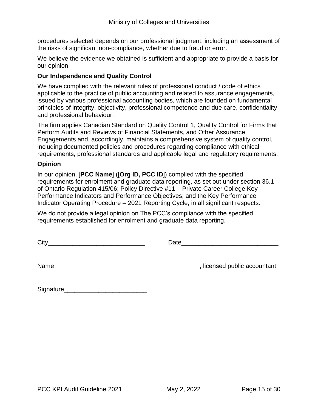procedures selected depends on our professional judgment, including an assessment of the risks of significant non-compliance, whether due to fraud or error.

We believe the evidence we obtained is sufficient and appropriate to provide a basis for our opinion.

#### **Our Independence and Quality Control**

We have complied with the relevant rules of professional conduct / code of ethics applicable to the practice of public accounting and related to assurance engagements, issued by various professional accounting bodies, which are founded on fundamental principles of integrity, objectivity, professional competence and due care, confidentiality and professional behaviour.

The firm applies Canadian Standard on Quality Control 1, Quality Control for Firms that Perform Audits and Reviews of Financial Statements, and Other Assurance Engagements and, accordingly, maintains a comprehensive system of quality control, including documented policies and procedures regarding compliance with ethical requirements, professional standards and applicable legal and regulatory requirements.

#### **Opinion**

In our opinion, [**PCC Name**] ([**Org ID, PCC ID**]) complied with the specified requirements for enrolment and graduate data reporting, as set out under section 36.1 of Ontario Regulation 415/06; Policy Directive #11 – Private Career College Key Performance Indicators and Performance Objectives; and the Key Performance Indicator Operating Procedure – 2021 Reporting Cycle, in all significant respects.

We do not provide a legal opinion on The PCC's compliance with the specified requirements established for enrolment and graduate data reporting.

| City |  |
|------|--|
|------|--|

City\_\_\_\_\_\_\_\_\_\_\_\_\_\_\_\_\_\_\_\_\_\_\_\_\_\_\_\_ Date\_\_\_\_\_\_\_\_\_\_\_\_\_\_\_\_\_\_\_\_\_\_\_\_\_\_\_\_

Name  $\Box$ 

| Signature |  |
|-----------|--|
|-----------|--|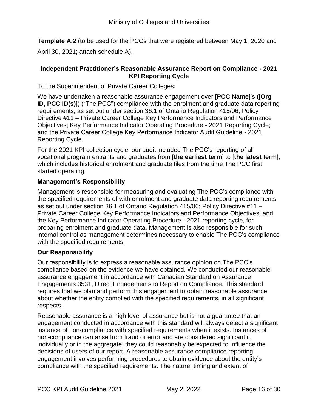<span id="page-15-0"></span>**Template A.2** (to be used for the PCCs that were registered between May 1, 2020 and April 30, 2021; attach schedule A).

#### **Independent Practitioner's Reasonable Assurance Report on Compliance - 2021 KPI Reporting Cycle**

To the Superintendent of Private Career Colleges:

We have undertaken a reasonable assurance engagement over [**PCC Name**]'s ([**Org ID, PCC ID(s)**]) ("The PCC") compliance with the enrolment and graduate data reporting requirements, as set out under section 36.1 of Ontario Regulation 415/06; Policy Directive #11 – Private Career College Key Performance Indicators and Performance Objectives; Key Performance Indicator Operating Procedure - 2021 Reporting Cycle; and the Private Career College Key Performance Indicator Audit Guideline - 2021 Reporting Cycle.

For the 2021 KPI collection cycle, our audit included The PCC's reporting of all vocational program entrants and graduates from [**the earliest term**] to [**the latest term**], which includes historical enrolment and graduate files from the time The PCC first started operating.

#### **Management's Responsibility**

Management is responsible for measuring and evaluating The PCC's compliance with the specified requirements of with enrolment and graduate data reporting requirements as set out under section 36.1 of Ontario Regulation 415/06; Policy Directive #11 – Private Career College Key Performance Indicators and Performance Objectives; and the Key Performance Indicator Operating Procedure - 2021 reporting cycle, for preparing enrolment and graduate data. Management is also responsible for such internal control as management determines necessary to enable The PCC's compliance with the specified requirements.

#### **Our Responsibility**

Our responsibility is to express a reasonable assurance opinion on The PCC's compliance based on the evidence we have obtained. We conducted our reasonable assurance engagement in accordance with Canadian Standard on Assurance Engagements 3531, Direct Engagements to Report on Compliance. This standard requires that we plan and perform this engagement to obtain reasonable assurance about whether the entity complied with the specified requirements, in all significant respects.

Reasonable assurance is a high level of assurance but is not a guarantee that an engagement conducted in accordance with this standard will always detect a significant instance of non-compliance with specified requirements when it exists. Instances of non-compliance can arise from fraud or error and are considered significant if, individually or in the aggregate, they could reasonably be expected to influence the decisions of users of our report. A reasonable assurance compliance reporting engagement involves performing procedures to obtain evidence about the entity's compliance with the specified requirements. The nature, timing and extent of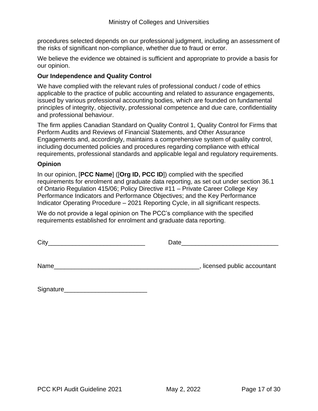procedures selected depends on our professional judgment, including an assessment of the risks of significant non-compliance, whether due to fraud or error.

We believe the evidence we obtained is sufficient and appropriate to provide a basis for our opinion.

#### **Our Independence and Quality Control**

We have complied with the relevant rules of professional conduct / code of ethics applicable to the practice of public accounting and related to assurance engagements, issued by various professional accounting bodies, which are founded on fundamental principles of integrity, objectivity, professional competence and due care, confidentiality and professional behaviour.

The firm applies Canadian Standard on Quality Control 1, Quality Control for Firms that Perform Audits and Reviews of Financial Statements, and Other Assurance Engagements and, accordingly, maintains a comprehensive system of quality control, including documented policies and procedures regarding compliance with ethical requirements, professional standards and applicable legal and regulatory requirements.

#### **Opinion**

In our opinion, [**PCC Name**] ([**Org ID, PCC ID**]) complied with the specified requirements for enrolment and graduate data reporting, as set out under section 36.1 of Ontario Regulation 415/06; Policy Directive #11 – Private Career College Key Performance Indicators and Performance Objectives; and the Key Performance Indicator Operating Procedure – 2021 Reporting Cycle, in all significant respects.

We do not provide a legal opinion on The PCC's compliance with the specified requirements established for enrolment and graduate data reporting.

City\_\_\_\_\_\_\_\_\_\_\_\_\_\_\_\_\_\_\_\_\_\_\_\_\_\_\_\_ Date\_\_\_\_\_\_\_\_\_\_\_\_\_\_\_\_\_\_\_\_\_\_\_\_\_\_\_\_

Name  $\Box$ 

| Signature |  |
|-----------|--|
|-----------|--|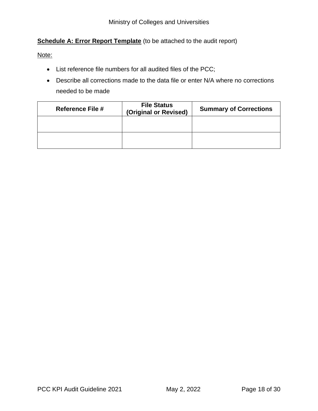#### <span id="page-17-0"></span>**Schedule A: Error Report Template** (to be attached to the audit report)

Note:

- List reference file numbers for all audited files of the PCC;
- Describe all corrections made to the data file or enter N/A where no corrections needed to be made

| <b>Reference File #</b> | <b>File Status</b><br>(Original or Revised) | <b>Summary of Corrections</b> |  |
|-------------------------|---------------------------------------------|-------------------------------|--|
|                         |                                             |                               |  |
|                         |                                             |                               |  |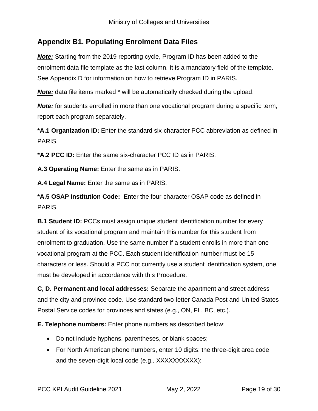### <span id="page-18-0"></span>**Appendix B1. Populating Enrolment Data Files**

*Note:* Starting from the 2019 reporting cycle, Program ID has been added to the enrolment data file template as the last column. It is a mandatory field of the template. See Appendix D for information on how to retrieve Program ID in PARIS.

**Note:** data file items marked \* will be automatically checked during the upload.

*Note:* for students enrolled in more than one vocational program during a specific term, report each program separately.

**\*A.1 Organization ID:** Enter the standard six-character PCC abbreviation as defined in PARIS.

**\*A.2 PCC ID:** Enter the same six-character PCC ID as in PARIS.

**A.3 Operating Name:** Enter the same as in PARIS.

**A.4 Legal Name:** Enter the same as in PARIS.

**\*A.5 OSAP Institution Code:** Enter the four-character OSAP code as defined in PARIS.

**B.1 Student ID: PCCs must assign unique student identification number for every** student of its vocational program and maintain this number for this student from enrolment to graduation. Use the same number if a student enrolls in more than one vocational program at the PCC. Each student identification number must be 15 characters or less. Should a PCC not currently use a student identification system, one must be developed in accordance with this Procedure.

**C, D. Permanent and local addresses:** Separate the apartment and street address and the city and province code. Use standard two-letter Canada Post and United States Postal Service codes for provinces and states (e.g., ON, FL, BC, etc.).

**E. Telephone numbers:** Enter phone numbers as described below:

- Do not include hyphens, parentheses, or blank spaces;
- For North American phone numbers, enter 10 digits: the three-digit area code and the seven-digit local code (e.g., XXXXXXXXXX);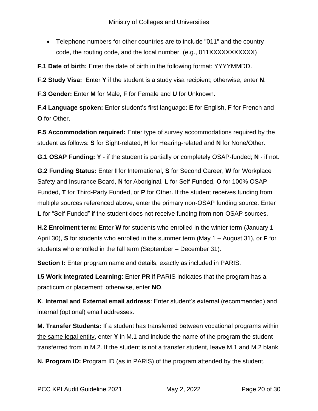• Telephone numbers for other countries are to include "011" and the country code, the routing code, and the local number. (e.g., 011XXXXXXXXXXX)

**F.1 Date of birth:** Enter the date of birth in the following format: YYYYMMDD.

**F.2 Study Visa:** Enter **Y** if the student is a study visa recipient; otherwise, enter **N**.

**F.3 Gender:** Enter **M** for Male, **F** for Female and **U** for Unknown.

**F.4 Language spoken:** Enter student's first language: **E** for English, **F** for French and **O** for Other.

**F.5 Accommodation required:** Enter type of survey accommodations required by the student as follows: **S** for Sight-related, **H** for Hearing-related and **N** for None/Other.

**G.1 OSAP Funding: Y** - if the student is partially or completely OSAP-funded; **N** - if not.

**G.2 Funding Status:** Enter **I** for International, **S** for Second Career, **W** for Workplace Safety and Insurance Board, **N** for Aboriginal, **L** for Self-Funded, **O** for 100% OSAP Funded, **T** for Third-Party Funded, or **P** for Other. If the student receives funding from multiple sources referenced above, enter the primary non-OSAP funding source. Enter **L** for "Self-Funded" if the student does not receive funding from non-OSAP sources.

**H.2 Enrolment term:** Enter **W** for students who enrolled in the winter term (January 1 – April 30), **S** for students who enrolled in the summer term (May 1 – August 31), or **F** for students who enrolled in the fall term (September – December 31).

**Section I:** Enter program name and details, exactly as included in PARIS.

**I.5 Work Integrated Learning**: Enter **PR** if PARIS indicates that the program has a practicum or placement; otherwise, enter **NO**.

**K**. **Internal and External email address**: Enter student's external (recommended) and internal (optional) email addresses.

**M. Transfer Students:** If a student has transferred between vocational programs within the same legal entity, enter **Y** in M.1 and include the name of the program the student transferred from in M.2. If the student is not a transfer student, leave M.1 and M.2 blank.

**N. Program ID:** Program ID (as in PARIS) of the program attended by the student.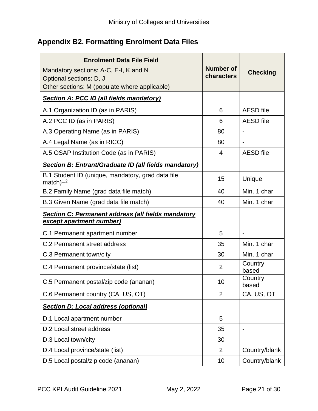# <span id="page-20-0"></span>**Appendix B2. Formatting Enrolment Data Files**

| <b>Enrolment Data File Field</b><br>Mandatory sections: A-C, E-I, K and N<br>Optional sections: D, J<br>Other sections: M (populate where applicable) | <b>Number of</b><br>characters | <b>Checking</b>          |
|-------------------------------------------------------------------------------------------------------------------------------------------------------|--------------------------------|--------------------------|
| <b>Section A: PCC ID (all fields mandatory)</b>                                                                                                       |                                |                          |
| A.1 Organization ID (as in PARIS)                                                                                                                     | 6                              | <b>AESD</b> file         |
| A.2 PCC ID (as in PARIS)                                                                                                                              | 6                              | <b>AESD</b> file         |
| A.3 Operating Name (as in PARIS)                                                                                                                      | 80                             | $\overline{\phantom{a}}$ |
| A.4 Legal Name (as in RICC)                                                                                                                           | 80                             |                          |
| A.5 OSAP Institution Code (as in PARIS)                                                                                                               | 4                              | <b>AESD</b> file         |
| Section B: Entrant/Graduate ID (all fields mandatory)                                                                                                 |                                |                          |
| B.1 Student ID (unique, mandatory, grad data file<br>match $)^{1,2}$                                                                                  | 15                             | Unique                   |
| B.2 Family Name (grad data file match)                                                                                                                | 40                             | Min. 1 char              |
| B.3 Given Name (grad data file match)                                                                                                                 | 40                             | Min. 1 char              |
| Section C: Permanent address (all fields mandatory<br>except apartment number)                                                                        |                                |                          |
| C.1 Permanent apartment number                                                                                                                        | 5                              | $\overline{\phantom{a}}$ |
| C.2 Permanent street address                                                                                                                          | 35                             | Min. 1 char              |
| C.3 Permanent town/city                                                                                                                               | 30                             | Min. 1 char              |
| C.4 Permanent province/state (list)                                                                                                                   | $\overline{2}$                 | Country<br>based         |
| C.5 Permanent postal/zip code (ananan)                                                                                                                | 10                             | Country<br>based         |
| C.6 Permanent country (CA, US, OT)                                                                                                                    | $\overline{2}$                 | CA, US, OT               |
| <b>Section D: Local address (optional)</b>                                                                                                            |                                |                          |
| D.1 Local apartment number                                                                                                                            | 5                              | -                        |
| D.2 Local street address                                                                                                                              | 35                             |                          |
| D.3 Local town/city                                                                                                                                   | 30                             |                          |
| D.4 Local province/state (list)                                                                                                                       | $\overline{2}$                 | Country/blank            |
| D.5 Local postal/zip code (ananan)                                                                                                                    | 10                             | Country/blank            |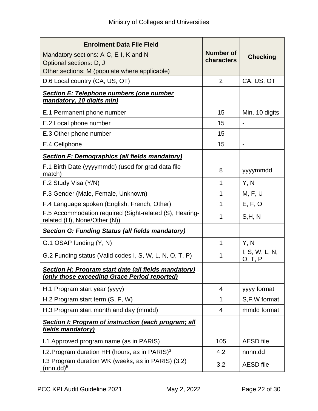| <b>Enrolment Data File Field</b><br>Mandatory sections: A-C, E-I, K and N<br>Optional sections: D, J<br>Other sections: M (populate where applicable) | <b>Number of</b><br>characters | <b>Checking</b>           |
|-------------------------------------------------------------------------------------------------------------------------------------------------------|--------------------------------|---------------------------|
| D.6 Local country (CA, US, OT)                                                                                                                        | $\overline{2}$                 | CA, US, OT                |
| <b>Section E: Telephone numbers (one number</b><br>mandatory, 10 digits min)                                                                          |                                |                           |
| E.1 Permanent phone number                                                                                                                            | 15                             | Min. 10 digits            |
| E.2 Local phone number                                                                                                                                | 15                             |                           |
| E.3 Other phone number                                                                                                                                | 15                             |                           |
| E.4 Cellphone                                                                                                                                         | 15                             | $\overline{\phantom{a}}$  |
| <b>Section F: Demographics (all fields mandatory)</b>                                                                                                 |                                |                           |
| F.1 Birth Date (yyyymmdd) (used for grad data file<br>match)                                                                                          | 8                              | yyyymmdd                  |
| F.2 Study Visa (Y/N)                                                                                                                                  | 1                              | Y, N                      |
| F.3 Gender (Male, Female, Unknown)                                                                                                                    | $\mathbf 1$                    | M, F, U                   |
| F.4 Language spoken (English, French, Other)                                                                                                          | 1                              | E, F, O                   |
| F.5 Accommodation required (Sight-related (S), Hearing-<br>related (H), None/Other (N))                                                               | 1                              | S,H, N                    |
| <b>Section G: Funding Status (all fields mandatory)</b>                                                                                               |                                |                           |
| G.1 OSAP funding (Y, N)                                                                                                                               | $\mathbf{1}$                   | Y, N                      |
| G.2 Funding status (Valid codes I, S, W, L, N, O, T, P)                                                                                               | 1                              | I, S, W, L, N,<br>O, T, P |
| <b>Section H: Program start date (all fields mandatory)</b><br>(only those exceeding Grace Period reported)                                           |                                |                           |
| H.1 Program start year (yyyy)                                                                                                                         | 4                              | yyyy format               |
| H.2 Program start term (S, F, W)                                                                                                                      | 1                              | S,F,W format              |
| H.3 Program start month and day (mmdd)                                                                                                                | 4                              | mmdd format               |
| Section I: Program of instruction (each program; all<br>fields mandatory)                                                                             |                                |                           |
| I.1 Approved program name (as in PARIS)                                                                                                               | 105                            | <b>AESD</b> file          |
| I.2. Program duration HH (hours, as in PARIS) <sup>3</sup>                                                                                            | 4.2                            | nnnn.dd                   |
| I.3 Program duration WK (weeks, as in PARIS) (3.2)<br>(nnn.dd) <sup>5</sup>                                                                           | 3.2                            | <b>AESD</b> file          |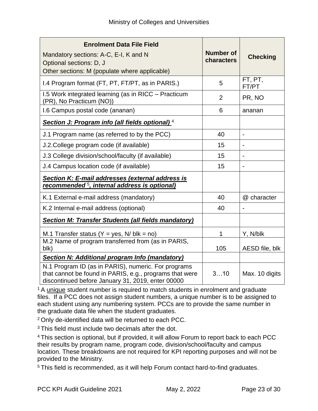| <b>Enrolment Data File Field</b><br>Mandatory sections: A-C, E-I, K and N<br>Optional sections: D, J<br>Other sections: M (populate where applicable)               | <b>Number of</b><br>characters | <b>Checking</b>  |
|---------------------------------------------------------------------------------------------------------------------------------------------------------------------|--------------------------------|------------------|
| I.4 Program format (FT, PT, FT/PT, as in PARIS.)                                                                                                                    | 5                              | FT, PT,<br>FT/PT |
| 1.5 Work integrated learning (as in RICC - Practicum<br>(PR), No Practicum (NO))                                                                                    | $\overline{2}$                 | PR, NO           |
| I.6 Campus postal code (ananan)                                                                                                                                     | 6                              | ananan           |
| Section J: Program info (all fields optional) <sup>4</sup>                                                                                                          |                                |                  |
| J.1 Program name (as referred to by the PCC)                                                                                                                        | 40                             | $\blacksquare$   |
| J.2. College program code (if available)                                                                                                                            | 15                             |                  |
| J.3 College division/school/faculty (if available)                                                                                                                  | 15                             |                  |
| J.4 Campus location code (if available)                                                                                                                             | 15                             |                  |
| Section K: E-mail addresses (external address is<br>recommended <sup>5</sup> , internal address is optional)                                                        |                                |                  |
| K.1 External e-mail address (mandatory)                                                                                                                             | 40                             | @ character      |
| K.2 Internal e-mail address (optional)                                                                                                                              | 40                             |                  |
| <b>Section M: Transfer Students (all fields mandatory)</b>                                                                                                          |                                |                  |
| M.1 Transfer status ( $Y = yes$ , N/ blk = no)<br>M.2 Name of program transferred from (as in PARIS,                                                                | 1                              | Y, N/blk         |
| blk)                                                                                                                                                                | 105                            | AESD file, blk   |
| <b>Section N: Additional program Info (mandatory)</b>                                                                                                               |                                |                  |
| N.1 Program ID (as in PARIS), numeric. For programs<br>that cannot be found in PARIS, e.g., programs that were<br>discontinued before January 31, 2019, enter 00000 | 310                            | Max. 10 digits   |

<sup>1</sup> A unique student number is required to match students in enrolment and graduate files. If a PCC does not assign student numbers, a unique number is to be assigned to each student using any numbering system. PCCs are to provide the same number in the graduate data file when the student graduates.

<sup>2</sup>Only de-identified data will be returned to each PCC.

 $3$ This field must include two decimals after the dot.

<sup>4</sup>This section is optional, but if provided, it will allow Forum to report back to each PCC their results by program name, program code, division/school/faculty and campus location. These breakdowns are not required for KPI reporting purposes and will not be provided to the Ministry.

5 This field is recommended, as it will help Forum contact hard-to-find graduates.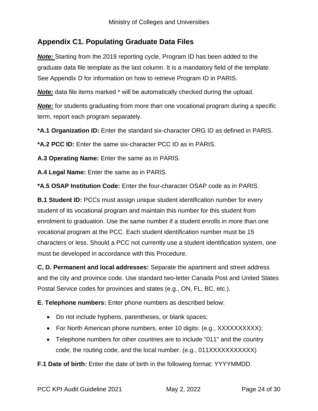### <span id="page-23-0"></span>**Appendix C1. Populating Graduate Data Files**

*Note:* Starting from the 2019 reporting cycle, Program ID has been added to the graduate data file template as the last column. It is a mandatory field of the template. See Appendix D for information on how to retrieve Program ID in PARIS.

**Note:** data file items marked \* will be automatically checked during the upload.

*Note:* for students graduating from more than one vocational program during a specific term, report each program separately.

**\*A.1 Organization ID:** Enter the standard six-character ORG ID as defined in PARIS.

**\*A.2 PCC ID:** Enter the same six-character PCC ID as in PARIS.

**A.3 Operating Name:** Enter the same as in PARIS.

**A.4 Legal Name:** Enter the same as in PARIS.

**\*A.5 OSAP Institution Code:** Enter the four-character OSAP code as in PARIS.

**B.1 Student ID:** PCCs must assign unique student identification number for every student of its vocational program and maintain this number for this student from enrolment to graduation. Use the same number if a student enrolls in more than one vocational program at the PCC. Each student identification number must be 15 characters or less. Should a PCC not currently use a student identification system, one must be developed in accordance with this Procedure.

**C, D. Permanent and local addresses:** Separate the apartment and street address and the city and province code. Use standard two-letter Canada Post and United States Postal Service codes for provinces and states (e.g., ON, FL, BC, etc.).

**E. Telephone numbers:** Enter phone numbers as described below:

- Do not include hyphens, parentheses, or blank spaces;
- For North American phone numbers, enter 10 digits: (e.g., XXXXXXXXXX);
- Telephone numbers for other countries are to include "011" and the country code, the routing code, and the local number. (e.g., 011XXXXXXXXXXX)

**F.1 Date of birth:** Enter the date of birth in the following format: YYYYMMDD.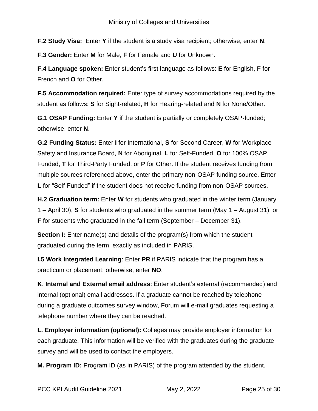**F.2 Study Visa:** Enter **Y** if the student is a study visa recipient; otherwise, enter **N**.

**F.3 Gender:** Enter **M** for Male, **F** for Female and **U** for Unknown.

**F.4 Language spoken:** Enter student's first language as follows: **E** for English, **F** for French and **O** for Other.

**F.5 Accommodation required:** Enter type of survey accommodations required by the student as follows: **S** for Sight-related, **H** for Hearing-related and **N** for None/Other.

**G.1 OSAP Funding:** Enter **Y** if the student is partially or completely OSAP-funded; otherwise, enter **N**.

**G.2 Funding Status:** Enter **I** for International, **S** for Second Career, **W** for Workplace Safety and Insurance Board, **N** for Aboriginal, **L** for Self-Funded, **O** for 100% OSAP Funded, **T** for Third-Party Funded, or **P** for Other. If the student receives funding from multiple sources referenced above, enter the primary non-OSAP funding source. Enter **L** for "Self-Funded" if the student does not receive funding from non-OSAP sources.

**H.2 Graduation term:** Enter **W** for students who graduated in the winter term (January 1 – April 30), **S** for students who graduated in the summer term (May 1 – August 31), or **F** for students who graduated in the fall term (September – December 31).

**Section I:** Enter name(s) and details of the program(s) from which the student graduated during the term, exactly as included in PARIS.

**I.5 Work Integrated Learning**: Enter **PR** if PARIS indicate that the program has a practicum or placement; otherwise, enter **NO**.

**K**. **Internal and External email address**: Enter student's external (recommended) and internal (optional) email addresses. If a graduate cannot be reached by telephone during a graduate outcomes survey window, Forum will e-mail graduates requesting a telephone number where they can be reached.

**L. Employer information (optional):** Colleges may provide employer information for each graduate. This information will be verified with the graduates during the graduate survey and will be used to contact the employers.

**M. Program ID:** Program ID (as in PARIS) of the program attended by the student.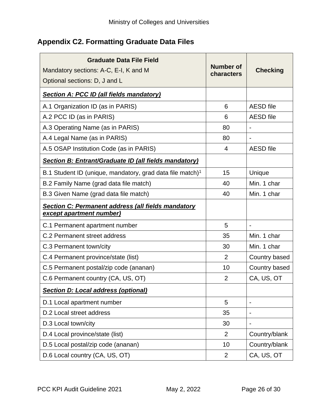# <span id="page-25-0"></span>**Appendix C2. Formatting Graduate Data Files**

| <b>Graduate Data File Field</b><br>Mandatory sections: A-C, E-I, K and M<br>Optional sections: D, J and L | <b>Number of</b><br>characters | <b>Checking</b>          |
|-----------------------------------------------------------------------------------------------------------|--------------------------------|--------------------------|
| Section A: PCC ID (all fields mandatory)                                                                  |                                |                          |
| A.1 Organization ID (as in PARIS)                                                                         | 6                              | <b>AESD</b> file         |
| A.2 PCC ID (as in PARIS)                                                                                  | 6                              | <b>AESD</b> file         |
| A.3 Operating Name (as in PARIS)                                                                          | 80                             |                          |
| A.4 Legal Name (as in PARIS)                                                                              | 80                             |                          |
| A.5 OSAP Institution Code (as in PARIS)                                                                   | $\overline{4}$                 | <b>AESD</b> file         |
| Section B: Entrant/Graduate ID (all fields mandatory)                                                     |                                |                          |
| B.1 Student ID (unique, mandatory, grad data file match) <sup>1</sup>                                     | 15                             | Unique                   |
| B.2 Family Name (grad data file match)                                                                    | 40                             | Min. 1 char              |
| B.3 Given Name (grad data file match)                                                                     | 40                             | Min. 1 char              |
| <b>Section C: Permanent address (all fields mandatory</b><br><b>except apartment number)</b>              |                                |                          |
| C.1 Permanent apartment number                                                                            | 5                              |                          |
| C.2 Permanent street address                                                                              | 35                             | Min. 1 char              |
| C.3 Permanent town/city                                                                                   | 30                             | Min. 1 char              |
| C.4 Permanent province/state (list)                                                                       | $\overline{2}$                 | Country based            |
| C.5 Permanent postal/zip code (ananan)                                                                    | 10                             | Country based            |
| C.6 Permanent country (CA, US, OT)                                                                        | $\overline{2}$                 | CA, US, OT               |
| <b>Section D: Local address (optional)</b>                                                                |                                |                          |
| D.1 Local apartment number                                                                                | 5                              | $\overline{\phantom{a}}$ |
| D.2 Local street address                                                                                  | 35                             |                          |
| D.3 Local town/city                                                                                       | 30                             | $\overline{\phantom{a}}$ |
| D.4 Local province/state (list)                                                                           | $\overline{2}$                 | Country/blank            |
| D.5 Local postal/zip code (ananan)                                                                        | 10                             | Country/blank            |
| D.6 Local country (CA, US, OT)                                                                            | $\overline{2}$                 | CA, US, OT               |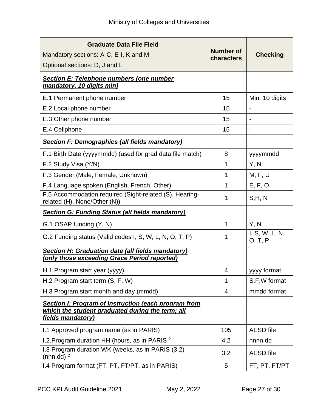| <b>Graduate Data File Field</b><br>Mandatory sections: A-C, E-I, K and M<br>Optional sections: D, J and L                     | <b>Number of</b><br>characters | <b>Checking</b>           |
|-------------------------------------------------------------------------------------------------------------------------------|--------------------------------|---------------------------|
| <b>Section E: Telephone numbers (one number</b><br>mandatory, 10 digits min)                                                  |                                |                           |
| E.1 Permanent phone number                                                                                                    | 15                             | Min. 10 digits            |
| E.2 Local phone number                                                                                                        | 15                             |                           |
| E.3 Other phone number                                                                                                        | 15                             |                           |
| E.4 Cellphone                                                                                                                 | 15                             |                           |
| <b>Section F: Demographics (all fields mandatory)</b>                                                                         |                                |                           |
| F.1 Birth Date (yyyymmdd) (used for grad data file match)                                                                     | 8                              | yyyymmdd                  |
| F.2 Study Visa (Y/N)                                                                                                          | $\mathbf 1$                    | Y, N                      |
| F.3 Gender (Male, Female, Unknown)                                                                                            | 1                              | M, F, U                   |
| F.4 Language spoken (English, French, Other)                                                                                  | 1                              | E, F, O                   |
| F.5 Accommodation required (Sight-related (S), Hearing-<br>related (H), None/Other (N))                                       | 1                              | S,H,N                     |
| <b>Section G: Funding Status (all fields mandatory)</b>                                                                       |                                |                           |
| G.1 OSAP funding (Y, N)                                                                                                       | $\mathbf 1$                    | Y, N                      |
| G.2 Funding status (Valid codes I, S, W, L, N, O, T, P)                                                                       | 1                              | I, S, W, L, N,<br>O, T, P |
| Section H: Graduation date (all fields mandatory)<br>(only those exceeding Grace Period reported)                             |                                |                           |
| H.1 Program start year (yyyy)                                                                                                 | Δ                              | yyyy format               |
| H.2 Program start term (S, F, W)                                                                                              | $\mathbf 1$                    | S,F,W format              |
| H.3 Program start month and day (mmdd)                                                                                        | 4                              | mmdd format               |
| Section I: Program of instruction (each program from<br>which the student graduated during the term; all<br>fields mandatory) |                                |                           |
| I.1 Approved program name (as in PARIS)                                                                                       | 105                            | <b>AESD</b> file          |
| 1.2. Program duration HH (hours, as in PARIS <sup>2</sup>                                                                     | 4.2                            | nnnn.dd                   |
| I.3 Program duration WK (weeks, as in PARIS (3.2)<br>(nnn.dd) $2$                                                             | 3.2                            | <b>AESD</b> file          |
| I.4 Program format (FT, PT, FT/PT, as in PARIS)                                                                               | 5                              | FT, PT, FT/PT             |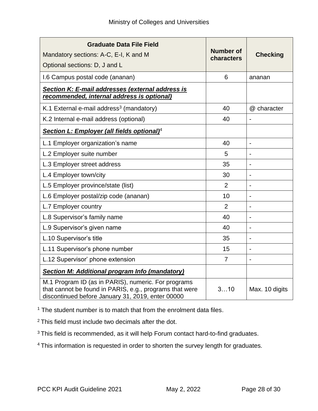| <b>Graduate Data File Field</b><br>Mandatory sections: A-C, E-I, K and M<br>Optional sections: D, J and L                                                           | <b>Number of</b><br>characters | <b>Checking</b>              |
|---------------------------------------------------------------------------------------------------------------------------------------------------------------------|--------------------------------|------------------------------|
| I.6 Campus postal code (ananan)                                                                                                                                     | 6                              | ananan                       |
| Section K: E-mail addresses (external address is<br>recommended, internal address is optional)                                                                      |                                |                              |
| K.1 External e-mail address <sup>3</sup> (mandatory)                                                                                                                | 40                             | @ character                  |
| K.2 Internal e-mail address (optional)                                                                                                                              | 40                             |                              |
| Section L: Employer (all fields optional) <sup>4</sup>                                                                                                              |                                |                              |
| L.1 Employer organization's name                                                                                                                                    | 40                             | $\overline{\phantom{0}}$     |
| L.2 Employer suite number                                                                                                                                           | 5                              |                              |
| L.3 Employer street address                                                                                                                                         | 35                             | $\blacksquare$               |
| L.4 Employer town/city                                                                                                                                              | 30                             | $\blacksquare$               |
| L.5 Employer province/state (list)                                                                                                                                  | $\overline{2}$                 |                              |
| L.6 Employer postal/zip code (ananan)                                                                                                                               | 10                             | $\blacksquare$               |
| L.7 Employer country                                                                                                                                                | $\overline{2}$                 |                              |
| L.8 Supervisor's family name                                                                                                                                        | 40                             | $\qquad \qquad \blacksquare$ |
| L.9 Supervisor's given name                                                                                                                                         | 40                             | $\blacksquare$               |
| L.10 Supervisor's title                                                                                                                                             | 35                             | $\overline{\phantom{a}}$     |
| L.11 Supervisor's phone number                                                                                                                                      | 15                             |                              |
| L.12 Supervisor' phone extension                                                                                                                                    | $\overline{7}$                 |                              |
| <b>Section M: Additional program Info (mandatory)</b>                                                                                                               |                                |                              |
| M.1 Program ID (as in PARIS), numeric. For programs<br>that cannot be found in PARIS, e.g., programs that were<br>discontinued before January 31, 2019, enter 00000 | 310                            | Max. 10 digits               |

<sup>1</sup> The student number is to match that from the enrolment data files.

<sup>2</sup>This field must include two decimals after the dot.

<sup>3</sup> This field is recommended, as it will help Forum contact hard-to-find graduates.

<sup>4</sup> This information is requested in order to shorten the survey length for graduates.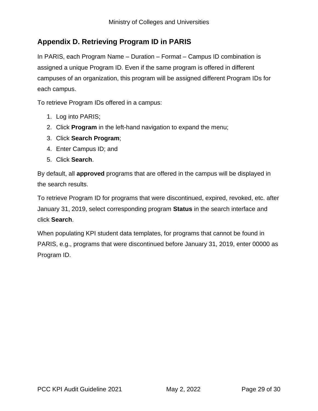### <span id="page-28-0"></span>**Appendix D. Retrieving Program ID in PARIS**

In PARIS, each Program Name – Duration – Format – Campus ID combination is assigned a unique Program ID. Even if the same program is offered in different campuses of an organization, this program will be assigned different Program IDs for each campus.

To retrieve Program IDs offered in a campus:

- 1. Log into PARIS;
- 2. Click **Program** in the left-hand navigation to expand the menu;
- 3. Click **Search Program**;
- 4. Enter Campus ID; and
- 5. Click **Search**.

By default, all **approved** programs that are offered in the campus will be displayed in the search results.

To retrieve Program ID for programs that were discontinued, expired, revoked, etc. after January 31, 2019, select corresponding program **Status** in the search interface and click **Search**.

When populating KPI student data templates, for programs that cannot be found in PARIS, e.g., programs that were discontinued before January 31, 2019, enter 00000 as Program ID.